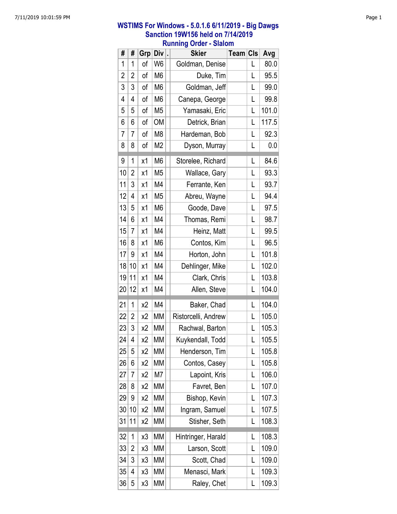## WSTIMS For Windows - 5.0.1.6 6/11/2019 - Big Dawgs Sanction 19W156 held on 7/14/2019 Running Order - Slalom

| #              | #              | Grp | Div            | <b>Skier</b>        | <b>Team</b> | Cls | Avg   |
|----------------|----------------|-----|----------------|---------------------|-------------|-----|-------|
| 1              | 1              | of  | W <sub>6</sub> | Goldman, Denise     |             | L   | 80.0  |
| $\overline{2}$ | 2              | оf  | M6             | Duke, Tim           |             | L   | 95.5  |
| 3              | 3              | оf  | M <sub>6</sub> | Goldman, Jeff       |             | L   | 99.0  |
| 4              | 4              | оf  | M <sub>6</sub> | Canepa, George      |             | L   | 99.8  |
| 5              | 5              | оf  | M <sub>5</sub> | Yamasaki, Eric      |             | L   | 101.0 |
| 6              | 6              | оf  | <b>OM</b>      | Detrick, Brian      |             | L   | 117.5 |
| $\overline{7}$ | 7              | оf  | M8             | Hardeman, Bob       |             | L   | 92.3  |
| 8              | 8              | оf  | M <sub>2</sub> | Dyson, Murray       |             | L   | 0.0   |
| 9              | 1              | х1  | M6             | Storelee, Richard   |             | L   | 84.6  |
| 10             | 2              | x1  | M <sub>5</sub> | Wallace, Gary       |             | L   | 93.3  |
| 11             | 3              | x1  | M4             | Ferrante, Ken       |             | L   | 93.7  |
| 12             | 4              | x1  | M <sub>5</sub> | Abreu, Wayne        |             | L   | 94.4  |
| 13             | 5              | x1  | M <sub>6</sub> | Goode, Dave         |             | L   | 97.5  |
| 14             | 6              | x1  | M4             | Thomas, Remi        |             | L   | 98.7  |
| 15             | 7              | x1  | M4             | Heinz, Matt         |             | L   | 99.5  |
| 16             | 8              | x1  | M <sub>6</sub> | Contos, Kim         |             | L   | 96.5  |
| 17             | 9              | х1  | M4             | Horton, John        |             | L   | 101.8 |
| 18             | 10             | x1  | M4             | Dehlinger, Mike     |             | L   | 102.0 |
| 19             | 11             | x1  | M4             | Clark, Chris        |             | L   | 103.8 |
| 20             | 12             | x1  | M4             | Allen, Steve        |             | L   | 104.0 |
| 21             | 1              | x2  | M4             | Baker, Chad         |             | L   | 104.0 |
| 22             | $\overline{2}$ | x2  | MM             | Ristorcelli, Andrew |             | L   | 105.0 |
| 23             | 3              | х2  | MM             | Rachwal, Barton     |             | L   | 105.3 |
| 24             | 4              | x2  | <b>MM</b>      | Kuykendall, Todd    |             | L   | 105.5 |
| 25             | 5              | х2  | MM             | Henderson, Tim      |             | L   | 105.8 |
| 26             | 6              | х2  | MM             | Contos, Casey       |             | L   | 105.8 |
| 27             | 7              | x2  | M7             | Lapoint, Kris       |             | L   | 106.0 |
| 28             | 8              | х2  | МM             | Favret, Ben         |             | L   | 107.0 |
| 29             | 9              | х2  | MM             | Bishop, Kevin       |             | L   | 107.3 |
| 30             | 10             | х2  | MM             | Ingram, Samuel      |             | L   | 107.5 |
| 31             | 11             | х2  | МM             | Stisher, Seth       |             | L   | 108.3 |
| 32             | 1              | x3  | MM             | Hintringer, Harald  |             | L   | 108.3 |
| 33             | 2              | x3  | MM             | Larson, Scott       |             | L   | 109.0 |
| 34             | 3              | x3  | МM             | Scott, Chad         |             | L   | 109.0 |
| 35             | 4              | x3  | <b>MM</b>      | Menasci, Mark       |             | L   | 109.3 |
| 36             | 5              | x3  | MM             | Raley, Chet         |             | L   | 109.3 |